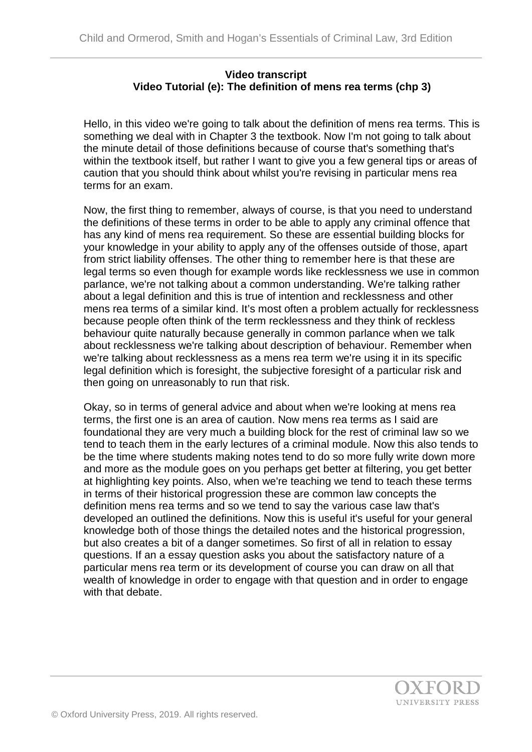## **Video transcript Video Tutorial (e): The definition of mens rea terms (chp 3)**

Hello, in this video we're going to talk about the definition of mens rea terms. This is something we deal with in Chapter 3 the textbook. Now I'm not going to talk about the minute detail of those definitions because of course that's something that's within the textbook itself, but rather I want to give you a few general tips or areas of caution that you should think about whilst you're revising in particular mens rea terms for an exam.

Now, the first thing to remember, always of course, is that you need to understand the definitions of these terms in order to be able to apply any criminal offence that has any kind of mens rea requirement. So these are essential building blocks for your knowledge in your ability to apply any of the offenses outside of those, apart from strict liability offenses. The other thing to remember here is that these are legal terms so even though for example words like recklessness we use in common parlance, we're not talking about a common understanding. We're talking rather about a legal definition and this is true of intention and recklessness and other mens rea terms of a similar kind. It's most often a problem actually for recklessness because people often think of the term recklessness and they think of reckless behaviour quite naturally because generally in common parlance when we talk about recklessness we're talking about description of behaviour. Remember when we're talking about recklessness as a mens rea term we're using it in its specific legal definition which is foresight, the subjective foresight of a particular risk and then going on unreasonably to run that risk.

Okay, so in terms of general advice and about when we're looking at mens rea terms, the first one is an area of caution. Now mens rea terms as I said are foundational they are very much a building block for the rest of criminal law so we tend to teach them in the early lectures of a criminal module. Now this also tends to be the time where students making notes tend to do so more fully write down more and more as the module goes on you perhaps get better at filtering, you get better at highlighting key points. Also, when we're teaching we tend to teach these terms in terms of their historical progression these are common law concepts the definition mens rea terms and so we tend to say the various case law that's developed an outlined the definitions. Now this is useful it's useful for your general knowledge both of those things the detailed notes and the historical progression, but also creates a bit of a danger sometimes. So first of all in relation to essay questions. If an a essay question asks you about the satisfactory nature of a particular mens rea term or its development of course you can draw on all that wealth of knowledge in order to engage with that question and in order to engage with that debate.

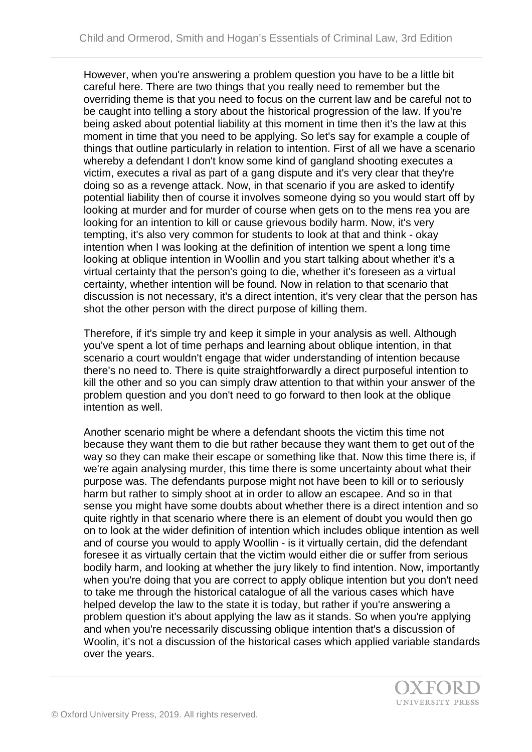However, when you're answering a problem question you have to be a little bit careful here. There are two things that you really need to remember but the overriding theme is that you need to focus on the current law and be careful not to be caught into telling a story about the historical progression of the law. If you're being asked about potential liability at this moment in time then it's the law at this moment in time that you need to be applying. So let's say for example a couple of things that outline particularly in relation to intention. First of all we have a scenario whereby a defendant I don't know some kind of gangland shooting executes a victim, executes a rival as part of a gang dispute and it's very clear that they're doing so as a revenge attack. Now, in that scenario if you are asked to identify potential liability then of course it involves someone dying so you would start off by looking at murder and for murder of course when gets on to the mens rea you are looking for an intention to kill or cause grievous bodily harm. Now, it's very tempting, it's also very common for students to look at that and think - okay intention when I was looking at the definition of intention we spent a long time looking at oblique intention in Woollin and you start talking about whether it's a virtual certainty that the person's going to die, whether it's foreseen as a virtual certainty, whether intention will be found. Now in relation to that scenario that discussion is not necessary, it's a direct intention, it's very clear that the person has shot the other person with the direct purpose of killing them.

Therefore, if it's simple try and keep it simple in your analysis as well. Although you've spent a lot of time perhaps and learning about oblique intention, in that scenario a court wouldn't engage that wider understanding of intention because there's no need to. There is quite straightforwardly a direct purposeful intention to kill the other and so you can simply draw attention to that within your answer of the problem question and you don't need to go forward to then look at the oblique intention as well.

Another scenario might be where a defendant shoots the victim this time not because they want them to die but rather because they want them to get out of the way so they can make their escape or something like that. Now this time there is, if we're again analysing murder, this time there is some uncertainty about what their purpose was. The defendants purpose might not have been to kill or to seriously harm but rather to simply shoot at in order to allow an escapee. And so in that sense you might have some doubts about whether there is a direct intention and so quite rightly in that scenario where there is an element of doubt you would then go on to look at the wider definition of intention which includes oblique intention as well and of course you would to apply Woollin - is it virtually certain, did the defendant foresee it as virtually certain that the victim would either die or suffer from serious bodily harm, and looking at whether the jury likely to find intention. Now, importantly when you're doing that you are correct to apply oblique intention but you don't need to take me through the historical catalogue of all the various cases which have helped develop the law to the state it is today, but rather if you're answering a problem question it's about applying the law as it stands. So when you're applying and when you're necessarily discussing oblique intention that's a discussion of Woolin, it's not a discussion of the historical cases which applied variable standards over the years.